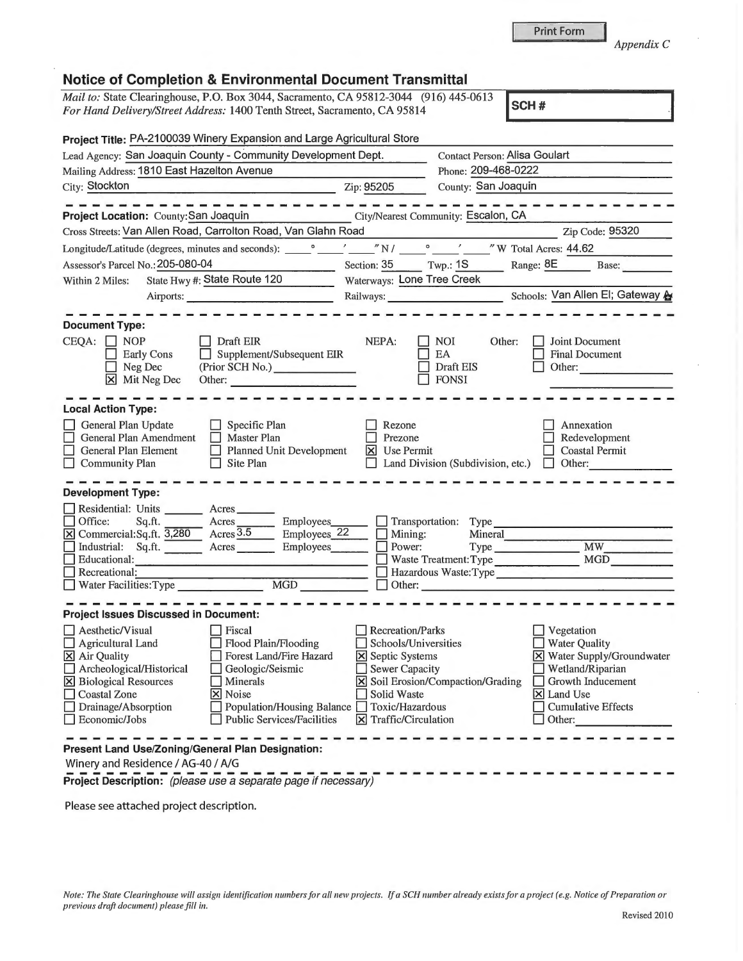**Project Description:** (please use a separate page if necessary) **All and the set of the set of the set of the set of the set of the set of the set of the set of the set of the set of the set of the set of the set of the s** 

Please see attached project description.

## **Notice of Completion** & **Environmental Document Transmittal**

*Mail to:* State Clearinghouse, P.O. Box 3044, Sacramento, CA 95812-3044 (916) 445-0613 *For Hand Delivery/Street Address:* 1400 Tenth Street, Sacramento, CA 95814 **SCH #** 

| Project Title: PA-2100039 Winery Expansion and Large Agricultural Store                                                                                                                                                                                                                                                                                                                                                                                      |                                                                                                                                                           |                                                                                                                                                              |                                                                                                                                                                              |
|--------------------------------------------------------------------------------------------------------------------------------------------------------------------------------------------------------------------------------------------------------------------------------------------------------------------------------------------------------------------------------------------------------------------------------------------------------------|-----------------------------------------------------------------------------------------------------------------------------------------------------------|--------------------------------------------------------------------------------------------------------------------------------------------------------------|------------------------------------------------------------------------------------------------------------------------------------------------------------------------------|
| Lead Agency: San Joaquin County - Community Development Dept.                                                                                                                                                                                                                                                                                                                                                                                                |                                                                                                                                                           | <b>Contact Person: Alisa Goulart</b>                                                                                                                         |                                                                                                                                                                              |
| Mailing Address: 1810 East Hazelton Avenue                                                                                                                                                                                                                                                                                                                                                                                                                   |                                                                                                                                                           | Phone: 209-468-0222                                                                                                                                          |                                                                                                                                                                              |
| City: Stockton<br>$\overline{2ip:95205}$                                                                                                                                                                                                                                                                                                                                                                                                                     |                                                                                                                                                           | County: San Joaquin                                                                                                                                          |                                                                                                                                                                              |
| --------                                                                                                                                                                                                                                                                                                                                                                                                                                                     |                                                                                                                                                           |                                                                                                                                                              |                                                                                                                                                                              |
| Project Location: County: San Joaquin                                                                                                                                                                                                                                                                                                                                                                                                                        | City/Nearest Community: Escalon, CA                                                                                                                       |                                                                                                                                                              |                                                                                                                                                                              |
| Cross Streets: Van Allen Road, Carrolton Road, Van Glahn Road                                                                                                                                                                                                                                                                                                                                                                                                |                                                                                                                                                           |                                                                                                                                                              | Zip Code: 95320                                                                                                                                                              |
|                                                                                                                                                                                                                                                                                                                                                                                                                                                              |                                                                                                                                                           |                                                                                                                                                              |                                                                                                                                                                              |
| Assessor's Parcel No.: 205-080-04                                                                                                                                                                                                                                                                                                                                                                                                                            |                                                                                                                                                           |                                                                                                                                                              | Section: 35 Twp.: 1S Range: 8E Base:                                                                                                                                         |
| State Hwy #: State Route 120<br>Within 2 Miles:                                                                                                                                                                                                                                                                                                                                                                                                              | Waterways: Lone Tree Creek                                                                                                                                |                                                                                                                                                              |                                                                                                                                                                              |
| Airports:                                                                                                                                                                                                                                                                                                                                                                                                                                                    |                                                                                                                                                           |                                                                                                                                                              | Railways: Schools: Van Allen El; Gateway A                                                                                                                                   |
|                                                                                                                                                                                                                                                                                                                                                                                                                                                              |                                                                                                                                                           |                                                                                                                                                              |                                                                                                                                                                              |
| <b>Document Type:</b><br>$CEQA: \Box NP$<br>$\Box$ Draft EIR<br>Supplement/Subsequent EIR<br><b>Early Cons</b><br>(Prior SCH No.)<br>Neg Dec<br>$\vert x \vert$<br>Mit Neg Dec<br>Other:                                                                                                                                                                                                                                                                     | NEPA:                                                                                                                                                     | <b>NOI</b><br>Other:<br>EA<br>Draft EIS<br><b>FONSI</b>                                                                                                      | Joint Document<br><b>Final Document</b><br>Other:                                                                                                                            |
| <b>Local Action Type:</b><br>General Plan Update<br>$\Box$ Specific Plan<br>General Plan Amendment<br>$\Box$ Master Plan<br>General Plan Element<br>$\Box$ Planned Unit Development<br><b>Community Plan</b><br>$\Box$ Site Plan<br><b>Development Type:</b>                                                                                                                                                                                                 | Rezone<br>Prezone<br>$\overline{\mathsf{X}}$ Use Permit                                                                                                   | Land Division (Subdivision, etc.) $\Box$ Other:                                                                                                              | Annexation<br>Redevelopment<br><b>Coastal Permit</b>                                                                                                                         |
| Residential: Units ________ Acres ______<br>Employees_<br>Office:<br>Sq.ft.<br>$\overline{\phantom{a}}$ Acres<br>$\boxed{\text{X}}$ Commercial: Sq.ft. $\boxed{3,280}$ Acres $\boxed{3.5}$<br>Employees <sub>22</sub><br>Industrial: Sq.ft. Acres<br>Employees____<br>Educational:<br>Recreational:<br>Water Facilities: Type<br>MGD                                                                                                                         | Mining:<br>Power:<br>$\Box$ Other:                                                                                                                        | Transportation: Type<br>Mineral<br>$\sim$ 10 $\mu$<br>Waste Treatment: Type<br>Hazardous Waste: Type<br><u> 1980 - Jan Barnett, fransk politik (f. 1980)</u> | MW<br><b>MGD</b>                                                                                                                                                             |
| <b>Project Issues Discussed in Document:</b>                                                                                                                                                                                                                                                                                                                                                                                                                 |                                                                                                                                                           |                                                                                                                                                              |                                                                                                                                                                              |
| $\Box$ Aesthetic/Visual<br>$\Box$ Fiscal<br>Agricultural Land<br>Flood Plain/Flooding<br><b>Contract Contract</b><br>X Air Quality<br>Forest Land/Fire Hazard<br>Archeological/Historical<br>Geologic/Seismic<br>Minerals<br><b>X</b> Biological Resources<br><b>Coastal Zone</b><br>X Noise<br>Drainage/Absorption<br>Population/Housing Balance<br><b>Public Services/Facilities</b><br>Economic/Jobs<br>Present Land Use/Zoning/General Plan Designation: | <b>Recreation/Parks</b><br>Schools/Universities<br>X Septic Systems<br><b>Sewer Capacity</b><br>Solid Waste<br>Toxic/Hazardous<br>$X$ Traffic/Circulation | X Soil Erosion/Compaction/Grading                                                                                                                            | Vegetation<br><b>Water Quality</b><br><b>X</b> Water Supply/Groundwater<br>Wetland/Riparian<br>Growth Inducement<br>$\times$ Land Use<br><b>Cumulative Effects</b><br>Other: |
| Winery and Residence / AG-40 / A/G                                                                                                                                                                                                                                                                                                                                                                                                                           |                                                                                                                                                           |                                                                                                                                                              |                                                                                                                                                                              |

*Appendix* C

Revised 2010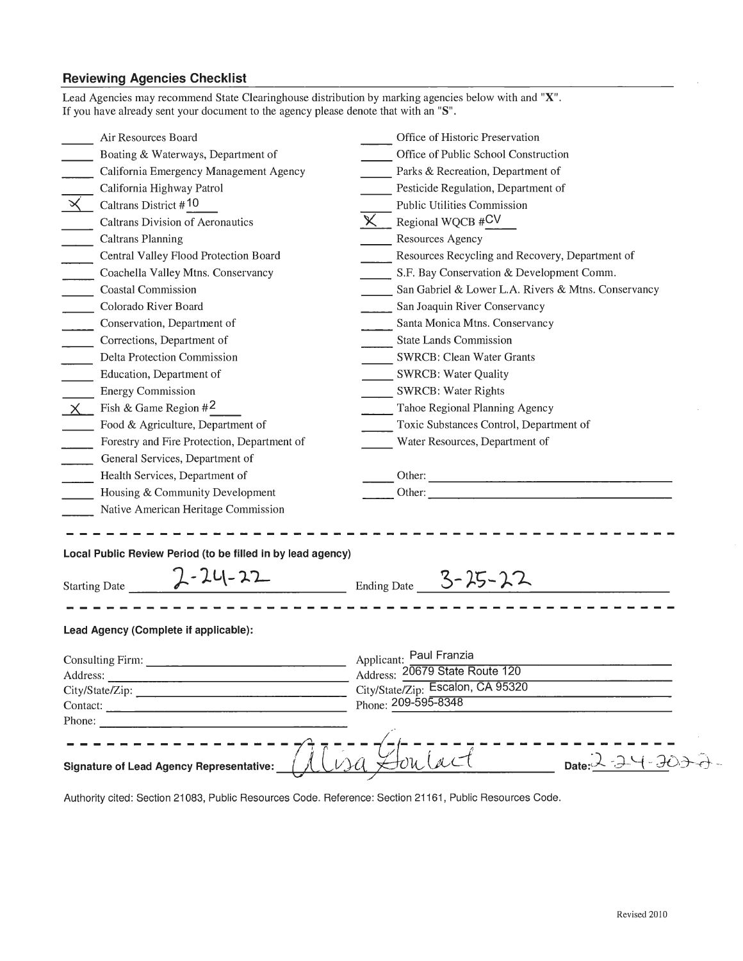## **Reviewing Agencies Checklist**

| Lead Agencies may recommend State Clearinghouse distribution by marking agencies below with and "X".<br>If you have already sent your document to the agency please denote that with an "S".                                   |                                                     |  |
|--------------------------------------------------------------------------------------------------------------------------------------------------------------------------------------------------------------------------------|-----------------------------------------------------|--|
| Air Resources Board                                                                                                                                                                                                            | Office of Historic Preservation                     |  |
| Boating & Waterways, Department of                                                                                                                                                                                             | Office of Public School Construction                |  |
| California Emergency Management Agency                                                                                                                                                                                         | Parks & Recreation, Department of                   |  |
| California Highway Patrol                                                                                                                                                                                                      | Pesticide Regulation, Department of                 |  |
| $\propto$<br>Caltrans District #10                                                                                                                                                                                             | <b>Public Utilities Commission</b>                  |  |
| Caltrans Division of Aeronautics                                                                                                                                                                                               | $\times$<br>Regional WQCB #CV                       |  |
| <b>Caltrans Planning</b>                                                                                                                                                                                                       | Resources Agency                                    |  |
| Central Valley Flood Protection Board<br>$\mathbb{R}$                                                                                                                                                                          | Resources Recycling and Recovery, Department of     |  |
| $\overline{\phantom{a}}$<br>Coachella Valley Mtns. Conservancy                                                                                                                                                                 | S.F. Bay Conservation & Development Comm.           |  |
| <b>Coastal Commission</b>                                                                                                                                                                                                      | San Gabriel & Lower L.A. Rivers & Mtns. Conservancy |  |
| Colorado River Board<br>$\overline{\phantom{a}}$                                                                                                                                                                               | San Joaquin River Conservancy                       |  |
| Conservation, Department of<br>$\mathcal{L}$                                                                                                                                                                                   | Santa Monica Mtns. Conservancy                      |  |
| Corrections, Department of                                                                                                                                                                                                     | <b>State Lands Commission</b>                       |  |
| Delta Protection Commission                                                                                                                                                                                                    | <b>SWRCB: Clean Water Grants</b>                    |  |
| Education, Department of                                                                                                                                                                                                       | <b>SWRCB: Water Quality</b>                         |  |
| <b>Energy Commission</b>                                                                                                                                                                                                       | <b>SWRCB: Water Rights</b>                          |  |
| Fish & Game Region $#2$<br>$\chi$                                                                                                                                                                                              | Tahoe Regional Planning Agency                      |  |
| Food & Agriculture, Department of                                                                                                                                                                                              | Toxic Substances Control, Department of             |  |
| Forestry and Fire Protection, Department of                                                                                                                                                                                    | Water Resources, Department of                      |  |
| General Services, Department of                                                                                                                                                                                                |                                                     |  |
| Health Services, Department of                                                                                                                                                                                                 |                                                     |  |
| Housing & Community Development                                                                                                                                                                                                | Other:                                              |  |
| Native American Heritage Commission                                                                                                                                                                                            |                                                     |  |
| Local Public Review Period (to be filled in by lead agency)<br>$2 - 24 - 22$<br><b>Starting Date</b>                                                                                                                           | $\frac{1}{\sqrt{2}}$ Ending Date 3-25-22            |  |
| Lead Agency (Complete if applicable):                                                                                                                                                                                          |                                                     |  |
| Applicant: Paul Franzia                                                                                                                                                                                                        |                                                     |  |
|                                                                                                                                                                                                                                | Address: 20679 State Route 120                      |  |
|                                                                                                                                                                                                                                | City/State/Zip: Escalon, CA 95320                   |  |
| Contact:                                                                                                                                                                                                                       | Phone: 209-595-8348                                 |  |
| Phone: The contract of the contract of the contract of the contract of the contract of the contract of the contract of the contract of the contract of the contract of the contract of the contract of the contract of the con |                                                     |  |
| <b>Signature of Lead Agency Representative:</b>                                                                                                                                                                                | Date: $\frac{1}{2}$                                 |  |

Authority cited: Section 21083, Public Resources Code. Reference: Section 21161, Public Resources Code.